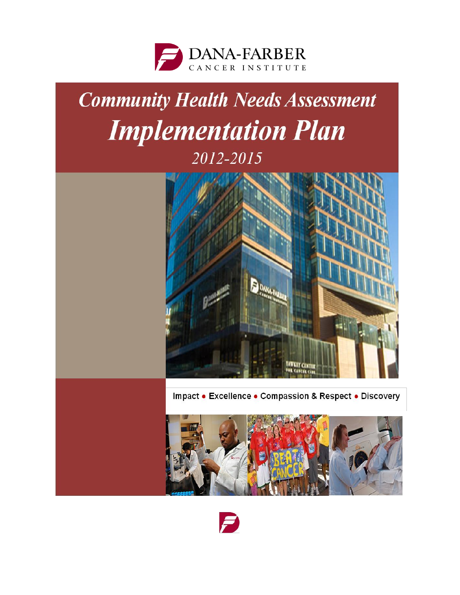

# **Community Health Needs Assessment Implementation Plan** 2012-2015



## Impact . Excellence . Compassion & Respect . Discovery



![](_page_0_Picture_5.jpeg)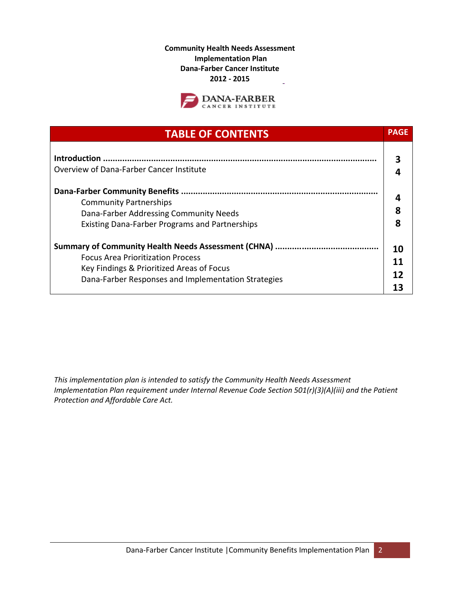**Community Health Needs Assessment Implementation Plan Dana-Farber Cancer Institute 2012 - 2015**

![](_page_1_Picture_1.jpeg)

| <b>TABLE OF CONTENTS</b>                                                                                                                     | <b>PAGE</b>    |
|----------------------------------------------------------------------------------------------------------------------------------------------|----------------|
| <b>Introduction</b><br>Overview of Dana-Farber Cancer Institute                                                                              |                |
| <b>Community Partnerships</b><br>Dana-Farber Addressing Community Needs<br><b>Existing Dana-Farber Programs and Partnerships</b>             | 8<br>Զ         |
| <b>Focus Area Prioritization Process</b><br>Key Findings & Prioritized Areas of Focus<br>Dana-Farber Responses and Implementation Strategies | 10<br>11<br>17 |

*This implementation plan is intended to satisfy the Community Health Needs Assessment Implementation Plan requirement under Internal Revenue Code Section 501(r)(3)(A)(iii) and the Patient Protection and Affordable Care Act.*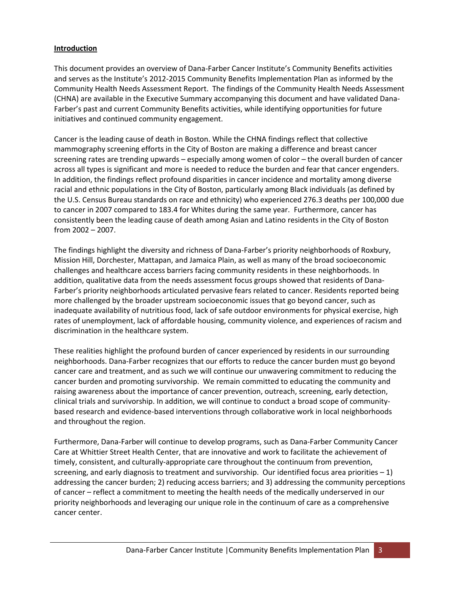## **Introduction**

This document provides an overview of Dana-Farber Cancer Institute's Community Benefits activities and serves as the Institute's 2012-2015 Community Benefits Implementation Plan as informed by the Community Health Needs Assessment Report. The findings of the Community Health Needs Assessment (CHNA) are available in the Executive Summary accompanying this document and have validated Dana-Farber's past and current Community Benefits activities, while identifying opportunities for future initiatives and continued community engagement.

Cancer is the leading cause of death in Boston. While the CHNA findings reflect that collective mammography screening efforts in the City of Boston are making a difference and breast cancer screening rates are trending upwards – especially among women of color – the overall burden of cancer across all types is significant and more is needed to reduce the burden and fear that cancer engenders. In addition, the findings reflect profound disparities in cancer incidence and mortality among diverse racial and ethnic populations in the City of Boston, particularly among Black individuals (as defined by the U.S. Census Bureau standards on race and ethnicity) who experienced 276.3 deaths per 100,000 due to cancer in 2007 compared to 183.4 for Whites during the same year. Furthermore, cancer has consistently been the leading cause of death among Asian and Latino residents in the City of Boston from 2002 – 2007.

The findings highlight the diversity and richness of Dana-Farber's priority neighborhoods of Roxbury, Mission Hill, Dorchester, Mattapan, and Jamaica Plain, as well as many of the broad socioeconomic challenges and healthcare access barriers facing community residents in these neighborhoods. In addition, qualitative data from the needs assessment focus groups showed that residents of Dana-Farber's priority neighborhoods articulated pervasive fears related to cancer. Residents reported being more challenged by the broader upstream socioeconomic issues that go beyond cancer, such as inadequate availability of nutritious food, lack of safe outdoor environments for physical exercise, high rates of unemployment, lack of affordable housing, community violence, and experiences of racism and discrimination in the healthcare system.

These realities highlight the profound burden of cancer experienced by residents in our surrounding neighborhoods. Dana-Farber recognizes that our efforts to reduce the cancer burden must go beyond cancer care and treatment, and as such we will continue our unwavering commitment to reducing the cancer burden and promoting survivorship. We remain committed to educating the community and raising awareness about the importance of cancer prevention, outreach, screening, early detection, clinical trials and survivorship. In addition, we will continue to conduct a broad scope of communitybased research and evidence-based interventions through collaborative work in local neighborhoods and throughout the region.

Furthermore, Dana-Farber will continue to develop programs, such as Dana-Farber Community Cancer Care at Whittier Street Health Center, that are innovative and work to facilitate the achievement of timely, consistent, and culturally-appropriate care throughout the continuum from prevention, screening, and early diagnosis to treatment and survivorship. Our identified focus area priorities  $-1$ ) addressing the cancer burden; 2) reducing access barriers; and 3) addressing the community perceptions of cancer – reflect a commitment to meeting the health needs of the medically underserved in our priority neighborhoods and leveraging our unique role in the continuum of care as a comprehensive cancer center.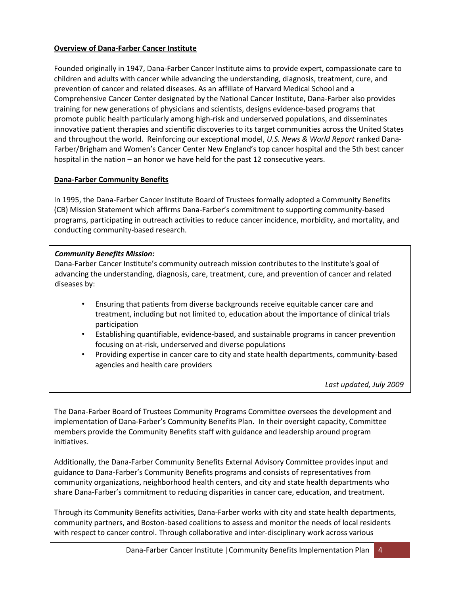## **Overview of Dana-Farber Cancer Institute**

Founded originally in 1947, Dana-Farber Cancer Institute aims to provide expert, compassionate care to children and adults with cancer while advancing the understanding, diagnosis, treatment, cure, and prevention of cancer and related diseases. As an affiliate of Harvard Medical School and a Comprehensive Cancer Center designated by the National Cancer Institute, Dana-Farber also provides training for new generations of physicians and scientists, designs evidence-based programs that promote public health particularly among high-risk and underserved populations, and disseminates innovative patient therapies and scientific discoveries to its target communities across the United States and throughout the world. Reinforcing our exceptional model, *U.S. News & World Report* ranked Dana-Farber/Brigham and Women's Cancer Center New England's top cancer hospital and the 5th best cancer hospital in the nation – an honor we have held for the past 12 consecutive years.

## **Dana-Farber Community Benefits**

In 1995, the Dana-Farber Cancer Institute Board of Trustees formally adopted a Community Benefits (CB) Mission Statement which affirms Dana-Farber's commitment to supporting community-based programs, participating in outreach activities to reduce cancer incidence, morbidity, and mortality, and conducting community-based research.

### *Community Benefits Mission:*

Dana-Farber Cancer Institute's community outreach mission contributes to the Institute's goal of advancing the understanding, diagnosis, care, treatment, cure, and prevention of cancer and related diseases by:

- Ensuring that patients from diverse backgrounds receive equitable cancer care and treatment, including but not limited to, education about the importance of clinical trials participation
- Establishing quantifiable, evidence-based, and sustainable programs in cancer prevention focusing on at-risk, underserved and diverse populations
- Providing expertise in cancer care to city and state health departments, community-based agencies and health care providers

*Last updated, July 2009*

The Dana-Farber Board of Trustees Community Programs Committee oversees the development and implementation of Dana-Farber's Community Benefits Plan. In their oversight capacity, Committee members provide the Community Benefits staff with guidance and leadership around program initiatives.

Additionally, the Dana-Farber Community Benefits External Advisory Committee provides input and guidance to Dana-Farber's Community Benefits programs and consists of representatives from community organizations, neighborhood health centers, and city and state health departments who share Dana-Farber's commitment to reducing disparities in cancer care, education, and treatment.

Through its Community Benefits activities, Dana-Farber works with city and state health departments, community partners, and Boston-based coalitions to assess and monitor the needs of local residents with respect to cancer control. Through collaborative and inter-disciplinary work across various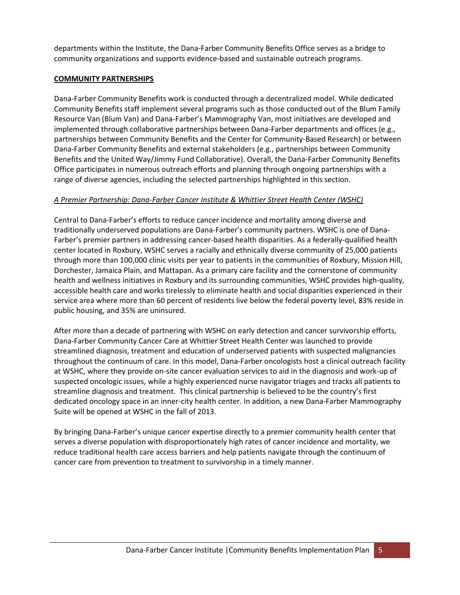departments within the Institute, the Dana-Farber Community Benefits Office serves as a bridge to community organizations and supports evidence-based and sustainable outreach programs.

## **COMMUNITY PARTNERSHIPS**

Dana-Farber Community Benefits work is conducted through a decentralized model. While dedicated Community Benefits staff implement several programs such as those conducted out of the Blum Family Resource Van (Blum Van) and Dana-Farber's Mammography Van, most initiatives are developed and implemented through collaborative partnerships between Dana-Farber departments and offices (e.g., partnerships between Community Benefits and the Center for Community-Based Research) or between Dana-Farber Community Benefits and external stakeholders (e.g., partnerships between Community Benefits and the United Way/Jimmy Fund Collaborative). Overall, the Dana-Farber Community Benefits Office participates in numerous outreach efforts and planning through ongoing partnerships with a range of diverse agencies, including the selected partnerships highlighted in this section.

## *A Premier Partnership: Dana-Farber Cancer Institute & Whittier Street Health Center (WSHC)*

Central to Dana-Farber's efforts to reduce cancer incidence and mortality among diverse and traditionally underserved populations are Dana-Farber's community partners. WSHC is one of Dana-Farber's premier partners in addressing cancer-based health disparities. As a federally-qualified health center located in Roxbury, WSHC serves a racially and ethnically diverse community of 25,000 patients through more than 100,000 clinic visits per year to patients in the communities of Roxbury, Mission Hill, Dorchester, Jamaica Plain, and Mattapan. As a primary care facility and the cornerstone of community health and wellness initiatives in Roxbury and its surrounding communities, WSHC provides high-quality, accessible health care and works tirelessly to eliminate health and social disparities experienced in their service area where more than 60 percent of residents live below the federal poverty level, 83% reside in public housing, and 35% are uninsured.

After more than a decade of partnering with WSHC on early detection and cancer survivorship efforts, Dana-Farber Community Cancer Care at Whittier Street Health Center was launched to provide streamlined diagnosis, treatment and education of underserved patients with suspected malignancies throughout the continuum of care. In this model, Dana-Farber oncologists host a clinical outreach facility at WSHC, where they provide on-site cancer evaluation services to aid in the diagnosis and work-up of suspected oncologic issues, while a highly experienced nurse navigator triages and tracks all patients to streamline diagnosis and treatment. This clinical partnership is believed to be the country's first dedicated oncology space in an inner-city health center. In addition, a new Dana-Farber Mammography Suite will be opened at WSHC in the fall of 2013.

By bringing Dana-Farber's unique cancer expertise directly to a premier community health center that serves a diverse population with disproportionately high rates of cancer incidence and mortality, we reduce traditional health care access barriers and help patients navigate through the continuum of cancer care from prevention to treatment to survivorship in a timely manner.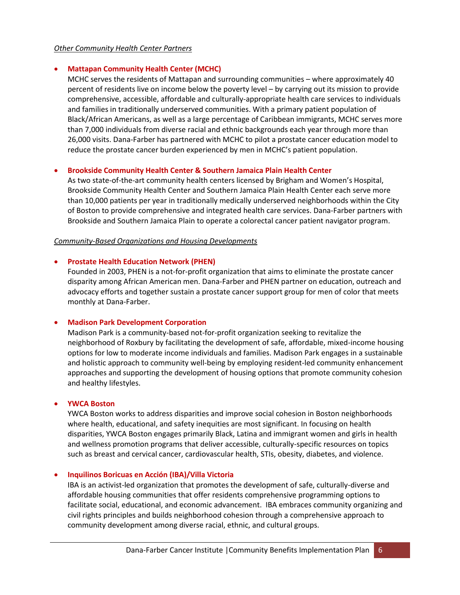#### *Other Community Health Center Partners*

#### **Mattapan Community Health Center (MCHC)**

MCHC serves the residents of Mattapan and surrounding communities – where approximately 40 percent of residents live on income below the poverty level – by carrying out its mission to provide comprehensive, accessible, affordable and culturally-appropriate health care services to individuals and families in traditionally underserved communities. With a primary patient population of Black/African Americans, as well as a large percentage of Caribbean immigrants, MCHC serves more than 7,000 individuals from diverse racial and ethnic backgrounds each year through more than 26,000 visits. Dana-Farber has partnered with MCHC to pilot a prostate cancer education model to reduce the prostate cancer burden experienced by men in MCHC's patient population.

#### **Brookside Community Health Center & Southern Jamaica Plain Health Center**

As two state-of-the-art community health centers licensed by Brigham and Women's Hospital, Brookside Community Health Center and Southern Jamaica Plain Health Center each serve more than 10,000 patients per year in traditionally medically underserved neighborhoods within the City of Boston to provide comprehensive and integrated health care services. Dana-Farber partners with Brookside and Southern Jamaica Plain to operate a colorectal cancer patient navigator program.

#### *Community-Based Organizations and Housing Developments*

#### **Prostate Health Education Network (PHEN)**

Founded in 2003, PHEN is a not-for-profit organization that aims to eliminate the prostate cancer disparity among African American men. Dana-Farber and PHEN partner on education, outreach and advocacy efforts and together sustain a prostate cancer support group for men of color that meets monthly at Dana-Farber.

#### **Madison Park Development Corporation**

Madison Park is a community-based not-for-profit organization seeking to revitalize the neighborhood of Roxbury by facilitating the development of safe, affordable, mixed-income housing options for low to moderate income individuals and families. Madison Park engages in a sustainable and holistic approach to community well-being by employing resident-led community enhancement approaches and supporting the development of housing options that promote community cohesion and healthy lifestyles.

#### **YWCA Boston**

YWCA Boston works to address disparities and improve social cohesion in Boston neighborhoods where health, educational, and safety inequities are most significant. In focusing on health disparities, YWCA Boston engages primarily Black, Latina and immigrant women and girls in health and wellness promotion programs that deliver accessible, culturally-specific resources on topics such as breast and cervical cancer, cardiovascular health, STIs, obesity, diabetes, and violence.

#### **Inquilinos Boricuas en Acción (IBA)/Villa Victoria**

IBA is an activist-led organization that promotes the development of safe, culturally-diverse and affordable housing communities that offer residents comprehensive programming options to facilitate social, educational, and economic advancement. IBA embraces community organizing and civil rights principles and builds neighborhood cohesion through a comprehensive approach to community development among diverse racial, ethnic, and cultural groups.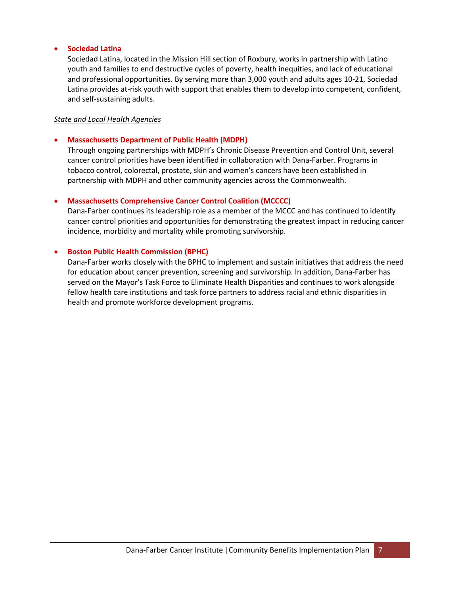#### **Sociedad Latina**

Sociedad Latina, located in the Mission Hill section of Roxbury, works in partnership with Latino youth and families to end destructive cycles of poverty, health inequities, and lack of educational and professional opportunities. By serving more than 3,000 youth and adults ages 10-21, Sociedad Latina provides at-risk youth with support that enables them to develop into competent, confident, and self-sustaining adults.

#### *State and Local Health Agencies*

#### **Massachusetts Department of Public Health (MDPH)**

Through ongoing partnerships with MDPH's Chronic Disease Prevention and Control Unit, several cancer control priorities have been identified in collaboration with Dana-Farber. Programs in tobacco control, colorectal, prostate, skin and women's cancers have been established in partnership with MDPH and other community agencies across the Commonwealth.

#### **Massachusetts Comprehensive Cancer Control Coalition (MCCCC)**

Dana-Farber continues its leadership role as a member of the MCCC and has continued to identify cancer control priorities and opportunities for demonstrating the greatest impact in reducing cancer incidence, morbidity and mortality while promoting survivorship.

#### **Boston Public Health Commission (BPHC)**

Dana-Farber works closely with the BPHC to implement and sustain initiatives that address the need for education about cancer prevention, screening and survivorship. In addition, Dana-Farber has served on the Mayor's Task Force to Eliminate Health Disparities and continues to work alongside fellow health care institutions and task force partners to address racial and ethnic disparities in health and promote workforce development programs.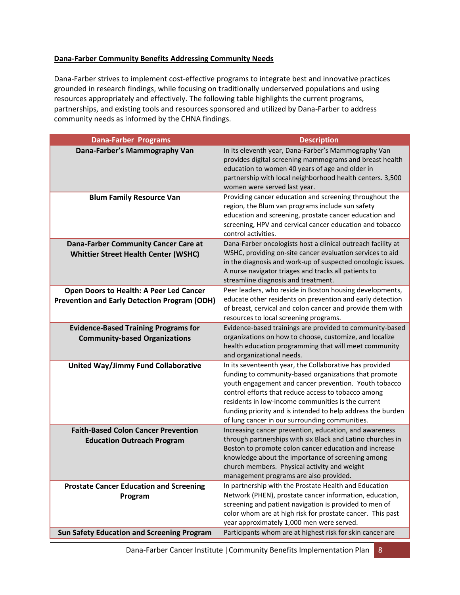## **Dana-Farber Community Benefits Addressing Community Needs**

Dana-Farber strives to implement cost-effective programs to integrate best and innovative practices grounded in research findings, while focusing on traditionally underserved populations and using resources appropriately and effectively. The following table highlights the current programs, partnerships, and existing tools and resources sponsored and utilized by Dana-Farber to address community needs as informed by the CHNA findings.

| <b>Dana-Farber Programs</b>                                                                    | <b>Description</b>                                                                                                                                                                                                                                                                                                                                                                                      |
|------------------------------------------------------------------------------------------------|---------------------------------------------------------------------------------------------------------------------------------------------------------------------------------------------------------------------------------------------------------------------------------------------------------------------------------------------------------------------------------------------------------|
| Dana-Farber's Mammography Van                                                                  | In its eleventh year, Dana-Farber's Mammography Van<br>provides digital screening mammograms and breast health<br>education to women 40 years of age and older in<br>partnership with local neighborhood health centers. 3,500<br>women were served last year.                                                                                                                                          |
| <b>Blum Family Resource Van</b>                                                                | Providing cancer education and screening throughout the<br>region, the Blum van programs include sun safety<br>education and screening, prostate cancer education and<br>screening, HPV and cervical cancer education and tobacco<br>control activities.                                                                                                                                                |
| Dana-Farber Community Cancer Care at<br><b>Whittier Street Health Center (WSHC)</b>            | Dana-Farber oncologists host a clinical outreach facility at<br>WSHC, providing on-site cancer evaluation services to aid<br>in the diagnosis and work-up of suspected oncologic issues.<br>A nurse navigator triages and tracks all patients to<br>streamline diagnosis and treatment.                                                                                                                 |
| Open Doors to Health: A Peer Led Cancer<br><b>Prevention and Early Detection Program (ODH)</b> | Peer leaders, who reside in Boston housing developments,<br>educate other residents on prevention and early detection<br>of breast, cervical and colon cancer and provide them with<br>resources to local screening programs.                                                                                                                                                                           |
| <b>Evidence-Based Training Programs for</b><br><b>Community-based Organizations</b>            | Evidence-based trainings are provided to community-based<br>organizations on how to choose, customize, and localize<br>health education programming that will meet community<br>and organizational needs.                                                                                                                                                                                               |
| <b>United Way/Jimmy Fund Collaborative</b>                                                     | In its seventeenth year, the Collaborative has provided<br>funding to community-based organizations that promote<br>youth engagement and cancer prevention. Youth tobacco<br>control efforts that reduce access to tobacco among<br>residents in low-income communities is the current<br>funding priority and is intended to help address the burden<br>of lung cancer in our surrounding communities. |
| <b>Faith-Based Colon Cancer Prevention</b><br><b>Education Outreach Program</b>                | Increasing cancer prevention, education, and awareness<br>through partnerships with six Black and Latino churches in<br>Boston to promote colon cancer education and increase<br>knowledge about the importance of screening among<br>church members. Physical activity and weight<br>management programs are also provided.                                                                            |
| <b>Prostate Cancer Education and Screening</b><br>Program                                      | In partnership with the Prostate Health and Education<br>Network (PHEN), prostate cancer information, education,<br>screening and patient navigation is provided to men of<br>color whom are at high risk for prostate cancer. This past<br>year approximately 1,000 men were served.<br>Participants whom are at highest risk for skin cancer are                                                      |
| <b>Sun Safety Education and Screening Program</b>                                              |                                                                                                                                                                                                                                                                                                                                                                                                         |

Dana-Farber Cancer Institute | Community Benefits Implementation Plan | 8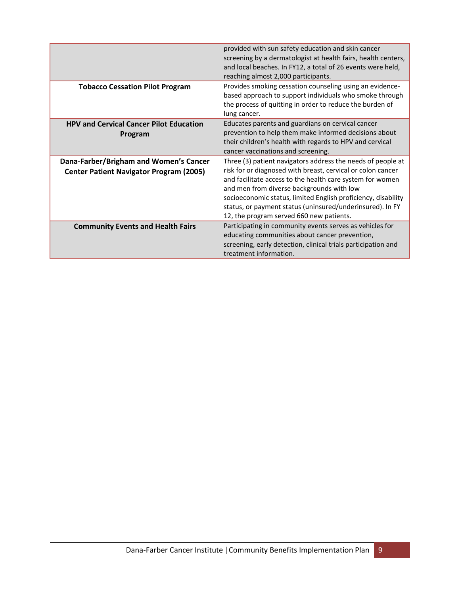|                                                                                          | provided with sun safety education and skin cancer<br>screening by a dermatologist at health fairs, health centers,<br>and local beaches. In FY12, a total of 26 events were held,<br>reaching almost 2,000 participants.                                                                                                                                                                                      |
|------------------------------------------------------------------------------------------|----------------------------------------------------------------------------------------------------------------------------------------------------------------------------------------------------------------------------------------------------------------------------------------------------------------------------------------------------------------------------------------------------------------|
| <b>Tobacco Cessation Pilot Program</b>                                                   | Provides smoking cessation counseling using an evidence-<br>based approach to support individuals who smoke through<br>the process of quitting in order to reduce the burden of<br>lung cancer.                                                                                                                                                                                                                |
| <b>HPV and Cervical Cancer Pilot Education</b><br>Program                                | Educates parents and guardians on cervical cancer<br>prevention to help them make informed decisions about<br>their children's health with regards to HPV and cervical<br>cancer vaccinations and screening.                                                                                                                                                                                                   |
| Dana-Farber/Brigham and Women's Cancer<br><b>Center Patient Navigator Program (2005)</b> | Three (3) patient navigators address the needs of people at<br>risk for or diagnosed with breast, cervical or colon cancer<br>and facilitate access to the health care system for women<br>and men from diverse backgrounds with low<br>socioeconomic status, limited English proficiency, disability<br>status, or payment status (uninsured/underinsured). In FY<br>12, the program served 660 new patients. |
| <b>Community Events and Health Fairs</b>                                                 | Participating in community events serves as vehicles for<br>educating communities about cancer prevention,<br>screening, early detection, clinical trials participation and<br>treatment information.                                                                                                                                                                                                          |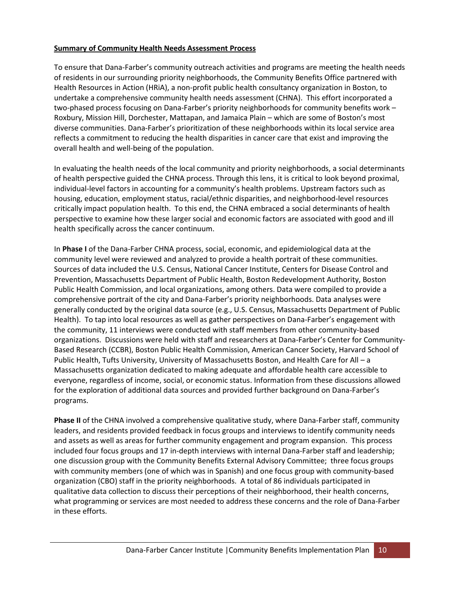## **Summary of Community Health Needs Assessment Process**

To ensure that Dana-Farber's community outreach activities and programs are meeting the health needs of residents in our surrounding priority neighborhoods, the Community Benefits Office partnered with Health Resources in Action (HRiA), a non-profit public health consultancy organization in Boston, to undertake a comprehensive community health needs assessment (CHNA). This effort incorporated a two-phased process focusing on Dana-Farber's priority neighborhoods for community benefits work – Roxbury, Mission Hill, Dorchester, Mattapan, and Jamaica Plain – which are some of Boston's most diverse communities. Dana-Farber's prioritization of these neighborhoods within its local service area reflects a commitment to reducing the health disparities in cancer care that exist and improving the overall health and well-being of the population.

In evaluating the health needs of the local community and priority neighborhoods, a social determinants of health perspective guided the CHNA process. Through this lens, it is critical to look beyond proximal, individual-level factors in accounting for a community's health problems. Upstream factors such as housing, education, employment status, racial/ethnic disparities, and neighborhood-level resources critically impact population health. To this end, the CHNA embraced a social determinants of health perspective to examine how these larger social and economic factors are associated with good and ill health specifically across the cancer continuum.

In **Phase I** of the Dana-Farber CHNA process, social, economic, and epidemiological data at the community level were reviewed and analyzed to provide a health portrait of these communities. Sources of data included the U.S. Census, National Cancer Institute, Centers for Disease Control and Prevention, Massachusetts Department of Public Health, Boston Redevelopment Authority, Boston Public Health Commission, and local organizations, among others. Data were compiled to provide a comprehensive portrait of the city and Dana-Farber's priority neighborhoods. Data analyses were generally conducted by the original data source (e.g., U.S. Census, Massachusetts Department of Public Health). To tap into local resources as well as gather perspectives on Dana-Farber's engagement with the community, 11 interviews were conducted with staff members from other community-based organizations. Discussions were held with staff and researchers at Dana-Farber's Center for Community-Based Research (CCBR), Boston Public Health Commission, American Cancer Society, Harvard School of Public Health, Tufts University, University of Massachusetts Boston, and Health Care for All – a Massachusetts organization dedicated to making adequate and affordable health care accessible to everyone, regardless of income, social, or economic status. Information from these discussions allowed for the exploration of additional data sources and provided further background on Dana-Farber's programs.

**Phase II** of the CHNA involved a comprehensive qualitative study, where Dana-Farber staff, community leaders, and residents provided feedback in focus groups and interviews to identify community needs and assets as well as areas for further community engagement and program expansion. This process included four focus groups and 17 in-depth interviews with internal Dana-Farber staff and leadership; one discussion group with the Community Benefits External Advisory Committee; three focus groups with community members (one of which was in Spanish) and one focus group with community-based organization (CBO) staff in the priority neighborhoods. A total of 86 individuals participated in qualitative data collection to discuss their perceptions of their neighborhood, their health concerns, what programming or services are most needed to address these concerns and the role of Dana-Farber in these efforts.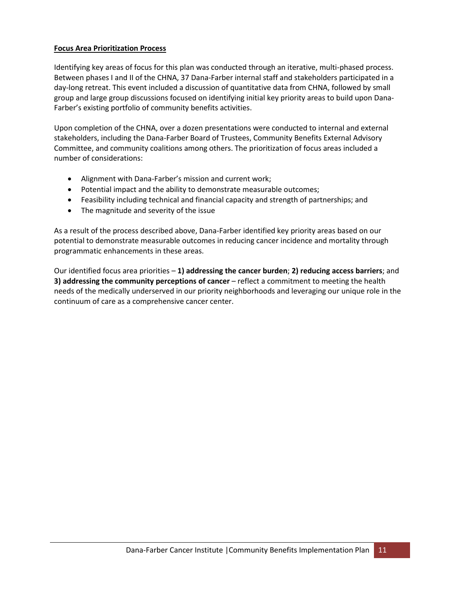## **Focus Area Prioritization Process**

Identifying key areas of focus for this plan was conducted through an iterative, multi-phased process. Between phases I and II of the CHNA, 37 Dana-Farber internal staff and stakeholders participated in a day-long retreat. This event included a discussion of quantitative data from CHNA, followed by small group and large group discussions focused on identifying initial key priority areas to build upon Dana-Farber's existing portfolio of community benefits activities.

Upon completion of the CHNA, over a dozen presentations were conducted to internal and external stakeholders, including the Dana-Farber Board of Trustees, Community Benefits External Advisory Committee, and community coalitions among others. The prioritization of focus areas included a number of considerations:

- Alignment with Dana-Farber's mission and current work;
- Potential impact and the ability to demonstrate measurable outcomes;
- Feasibility including technical and financial capacity and strength of partnerships; and
- The magnitude and severity of the issue

As a result of the process described above, Dana-Farber identified key priority areas based on our potential to demonstrate measurable outcomes in reducing cancer incidence and mortality through programmatic enhancements in these areas.

Our identified focus area priorities – **1) addressing the cancer burden**; **2) reducing access barriers**; and **3) addressing the community perceptions of cancer** – reflect a commitment to meeting the health needs of the medically underserved in our priority neighborhoods and leveraging our unique role in the continuum of care as a comprehensive cancer center.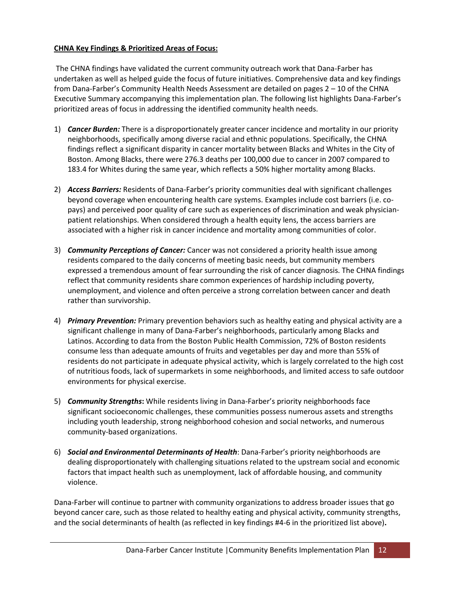## **CHNA Key Findings & Prioritized Areas of Focus:**

The CHNA findings have validated the current community outreach work that Dana-Farber has undertaken as well as helped guide the focus of future initiatives. Comprehensive data and key findings from Dana-Farber's Community Health Needs Assessment are detailed on pages 2 – 10 of the CHNA Executive Summary accompanying this implementation plan. The following list highlights Dana-Farber's prioritized areas of focus in addressing the identified community health needs.

- 1) *Cancer Burden:* There is a disproportionately greater cancer incidence and mortality in our priority neighborhoods, specifically among diverse racial and ethnic populations. Specifically, the CHNA findings reflect a significant disparity in cancer mortality between Blacks and Whites in the City of Boston. Among Blacks, there were 276.3 deaths per 100,000 due to cancer in 2007 compared to 183.4 for Whites during the same year, which reflects a 50% higher mortality among Blacks.
- 2) *Access Barriers:* Residents of Dana-Farber's priority communities deal with significant challenges beyond coverage when encountering health care systems. Examples include cost barriers (i.e. copays) and perceived poor quality of care such as experiences of discrimination and weak physicianpatient relationships. When considered through a health equity lens, the access barriers are associated with a higher risk in cancer incidence and mortality among communities of color.
- 3) *Community Perceptions of Cancer:* Cancer was not considered a priority health issue among residents compared to the daily concerns of meeting basic needs, but community members expressed a tremendous amount of fear surrounding the risk of cancer diagnosis. The CHNA findings reflect that community residents share common experiences of hardship including poverty, unemployment, and violence and often perceive a strong correlation between cancer and death rather than survivorship.
- 4) *Primary Prevention:* Primary prevention behaviors such as healthy eating and physical activity are a significant challenge in many of Dana-Farber's neighborhoods, particularly among Blacks and Latinos. According to data from the Boston Public Health Commission, 72% of Boston residents consume less than adequate amounts of fruits and vegetables per day and more than 55% of residents do not participate in adequate physical activity, which is largely correlated to the high cost of nutritious foods, lack of supermarkets in some neighborhoods, and limited access to safe outdoor environments for physical exercise.
- 5) *Community Strengths***:** While residents living in Dana-Farber's priority neighborhoods face significant socioeconomic challenges, these communities possess numerous assets and strengths including youth leadership, strong neighborhood cohesion and social networks, and numerous community-based organizations.
- 6) *Social and Environmental Determinants of Health*: Dana-Farber's priority neighborhoods are dealing disproportionately with challenging situations related to the upstream social and economic factors that impact health such as unemployment, lack of affordable housing, and community violence.

Dana-Farber will continue to partner with community organizations to address broader issues that go beyond cancer care, such as those related to healthy eating and physical activity, community strengths, and the social determinants of health (as reflected in key findings #4-6 in the prioritized list above)**.**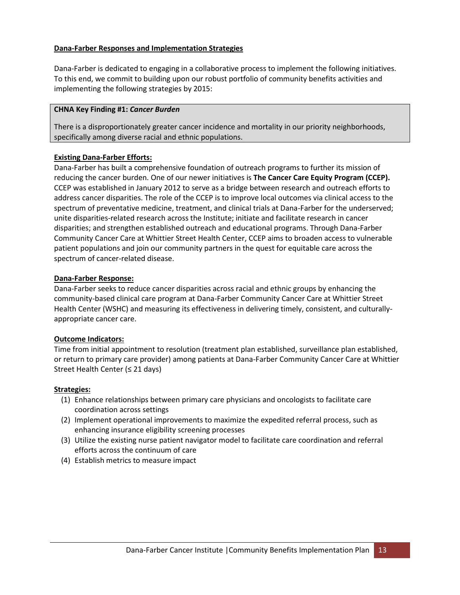## **Dana-Farber Responses and Implementation Strategies**

Dana-Farber is dedicated to engaging in a collaborative process to implement the following initiatives. To this end, we commit to building upon our robust portfolio of community benefits activities and implementing the following strategies by 2015:

## **CHNA Key Finding #1:** *Cancer Burden*

There is a disproportionately greater cancer incidence and mortality in our priority neighborhoods, specifically among diverse racial and ethnic populations.

### **Existing Dana-Farber Efforts:**

Dana-Farber has built a comprehensive foundation of outreach programs to further its mission of reducing the cancer burden. One of our newer initiatives is **The Cancer Care Equity Program (CCEP).** CCEP was established in January 2012 to serve as a bridge between research and outreach efforts to address cancer disparities. The role of the CCEP is to improve local outcomes via clinical access to the spectrum of preventative medicine, treatment, and clinical trials at Dana-Farber for the underserved; unite disparities-related research across the Institute; initiate and facilitate research in cancer disparities; and strengthen established outreach and educational programs. Through Dana-Farber Community Cancer Care at Whittier Street Health Center, CCEP aims to broaden access to vulnerable patient populations and join our community partners in the quest for equitable care across the spectrum of cancer-related disease.

#### **Dana-Farber Response:**

Dana-Farber seeks to reduce cancer disparities across racial and ethnic groups by enhancing the community-based clinical care program at Dana-Farber Community Cancer Care at Whittier Street Health Center (WSHC) and measuring its effectiveness in delivering timely, consistent, and culturallyappropriate cancer care.

### **Outcome Indicators:**

Time from initial appointment to resolution (treatment plan established, surveillance plan established, or return to primary care provider) among patients at Dana-Farber Community Cancer Care at Whittier Street Health Center (≤ 21 days)

#### **Strategies:**

- (1) Enhance relationships between primary care physicians and oncologists to facilitate care coordination across settings
- (2) Implement operational improvements to maximize the expedited referral process, such as enhancing insurance eligibility screening processes
- (3) Utilize the existing nurse patient navigator model to facilitate care coordination and referral efforts across the continuum of care
- (4) Establish metrics to measure impact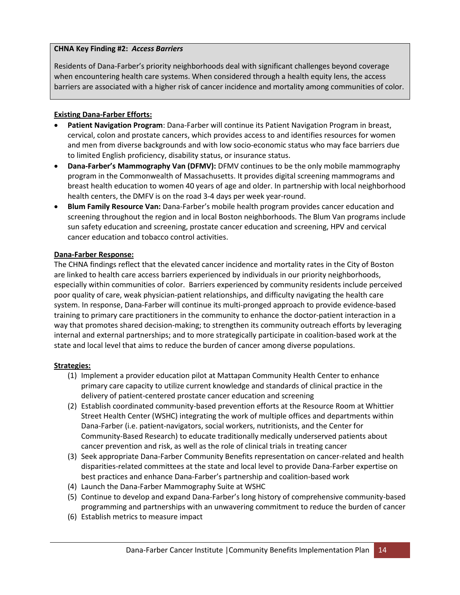## **CHNA Key Finding #2:** *Access Barriers*

Residents of Dana-Farber's priority neighborhoods deal with significant challenges beyond coverage when encountering health care systems. When considered through a health equity lens, the access barriers are associated with a higher risk of cancer incidence and mortality among communities of color.

## **Existing Dana-Farber Efforts:**

- **Patient Navigation Program**: Dana-Farber will continue its Patient Navigation Program in breast, cervical, colon and prostate cancers, which provides access to and identifies resources for women and men from diverse backgrounds and with low socio-economic status who may face barriers due to limited English proficiency, disability status, or insurance status.
- **Dana-Farber's Mammography Van (DFMV):** DFMV continues to be the only mobile mammography program in the Commonwealth of Massachusetts. It provides digital screening mammograms and breast health education to women 40 years of age and older. In partnership with local neighborhood health centers, the DMFV is on the road 3-4 days per week year-round.
- **Blum Family Resource Van:** Dana-Farber's mobile health program provides cancer education and screening throughout the region and in local Boston neighborhoods. The Blum Van programs include sun safety education and screening, prostate cancer education and screening, HPV and cervical cancer education and tobacco control activities.

## **Dana-Farber Response:**

The CHNA findings reflect that the elevated cancer incidence and mortality rates in the City of Boston are linked to health care access barriers experienced by individuals in our priority neighborhoods, especially within communities of color. Barriers experienced by community residents include perceived poor quality of care, weak physician-patient relationships, and difficulty navigating the health care system. In response, Dana-Farber will continue its multi-pronged approach to provide evidence-based training to primary care practitioners in the community to enhance the doctor-patient interaction in a way that promotes shared decision-making; to strengthen its community outreach efforts by leveraging internal and external partnerships; and to more strategically participate in coalition-based work at the state and local level that aims to reduce the burden of cancer among diverse populations.

## **Strategies:**

- (1) Implement a provider education pilot at Mattapan Community Health Center to enhance primary care capacity to utilize current knowledge and standards of clinical practice in the delivery of patient-centered prostate cancer education and screening
- (2) Establish coordinated community-based prevention efforts at the Resource Room at Whittier Street Health Center (WSHC) integrating the work of multiple offices and departments within Dana-Farber (i.e. patient-navigators, social workers, nutritionists, and the Center for Community-Based Research) to educate traditionally medically underserved patients about cancer prevention and risk, as well as the role of clinical trials in treating cancer
- (3) Seek appropriate Dana-Farber Community Benefits representation on cancer-related and health disparities-related committees at the state and local level to provide Dana-Farber expertise on best practices and enhance Dana-Farber's partnership and coalition-based work
- (4) Launch the Dana-Farber Mammography Suite at WSHC
- (5) Continue to develop and expand Dana-Farber's long history of comprehensive community-based programming and partnerships with an unwavering commitment to reduce the burden of cancer
- (6) Establish metrics to measure impact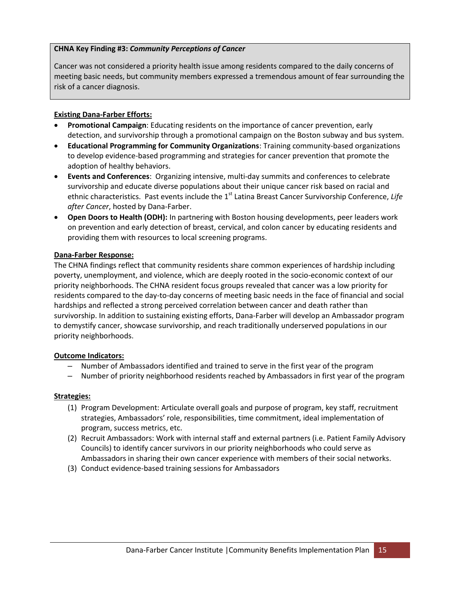## **CHNA Key Finding #3:** *Community Perceptions of Cancer*

Cancer was not considered a priority health issue among residents compared to the daily concerns of meeting basic needs, but community members expressed a tremendous amount of fear surrounding the risk of a cancer diagnosis.

## **Existing Dana-Farber Efforts:**

- **Promotional Campaign**: Educating residents on the importance of cancer prevention, early detection, and survivorship through a promotional campaign on the Boston subway and bus system.
- **Educational Programming for Community Organizations**: Training community-based organizations to develop evidence-based programming and strategies for cancer prevention that promote the adoption of healthy behaviors.
- **Events and Conferences**: Organizing intensive, multi-day summits and conferences to celebrate survivorship and educate diverse populations about their unique cancer risk based on racial and ethnic characteristics. Past events include the 1<sup>st</sup> Latina Breast Cancer Survivorship Conference, Life *after Cancer*, hosted by Dana-Farber.
- **Open Doors to Health (ODH):** In partnering with Boston housing developments, peer leaders work on prevention and early detection of breast, cervical, and colon cancer by educating residents and providing them with resources to local screening programs.

## **Dana-Farber Response:**

The CHNA findings reflect that community residents share common experiences of hardship including poverty, unemployment, and violence, which are deeply rooted in the socio-economic context of our priority neighborhoods. The CHNA resident focus groups revealed that cancer was a low priority for residents compared to the day-to-day concerns of meeting basic needs in the face of financial and social hardships and reflected a strong perceived correlation between cancer and death rather than survivorship. In addition to sustaining existing efforts, Dana-Farber will develop an Ambassador program to demystify cancer, showcase survivorship, and reach traditionally underserved populations in our priority neighborhoods.

### **Outcome Indicators:**

- Number of Ambassadors identified and trained to serve in the first year of the program
- Number of priority neighborhood residents reached by Ambassadors in first year of the program

### **Strategies:**

- (1) Program Development: Articulate overall goals and purpose of program, key staff, recruitment strategies, Ambassadors' role, responsibilities, time commitment, ideal implementation of program, success metrics, etc.
- (2) Recruit Ambassadors: Work with internal staff and external partners (i.e. Patient Family Advisory Councils) to identify cancer survivors in our priority neighborhoods who could serve as Ambassadors in sharing their own cancer experience with members of their social networks.
- (3) Conduct evidence-based training sessions for Ambassadors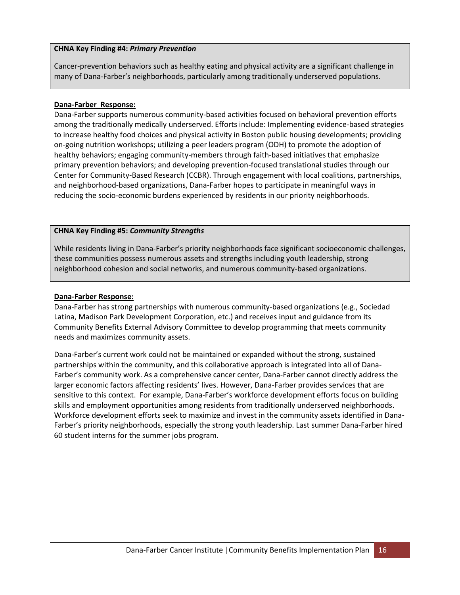#### **CHNA Key Finding #4:** *Primary Prevention*

Cancer-prevention behaviors such as healthy eating and physical activity are a significant challenge in many of Dana-Farber's neighborhoods, particularly among traditionally underserved populations.

### **Dana-Farber Response:**

Dana-Farber supports numerous community-based activities focused on behavioral prevention efforts among the traditionally medically underserved. Efforts include: Implementing evidence-based strategies to increase healthy food choices and physical activity in Boston public housing developments; providing on-going nutrition workshops; utilizing a peer leaders program (ODH) to promote the adoption of healthy behaviors; engaging community-members through faith-based initiatives that emphasize primary prevention behaviors; and developing prevention-focused translational studies through our Center for Community-Based Research (CCBR). Through engagement with local coalitions, partnerships, and neighborhood-based organizations, Dana-Farber hopes to participate in meaningful ways in reducing the socio-economic burdens experienced by residents in our priority neighborhoods.

### **CHNA Key Finding #5:** *Community Strengths*

While residents living in Dana-Farber's priority neighborhoods face significant socioeconomic challenges, these communities possess numerous assets and strengths including youth leadership, strong neighborhood cohesion and social networks, and numerous community-based organizations.

#### **Dana-Farber Response:**

Dana-Farber has strong partnerships with numerous community-based organizations (e.g., Sociedad Latina, Madison Park Development Corporation, etc.) and receives input and guidance from its Community Benefits External Advisory Committee to develop programming that meets community needs and maximizes community assets.

Dana-Farber's current work could not be maintained or expanded without the strong, sustained partnerships within the community, and this collaborative approach is integrated into all of Dana-Farber's community work. As a comprehensive cancer center, Dana-Farber cannot directly address the larger economic factors affecting residents' lives. However, Dana-Farber provides services that are sensitive to this context. For example, Dana-Farber's workforce development efforts focus on building skills and employment opportunities among residents from traditionally underserved neighborhoods. Workforce development efforts seek to maximize and invest in the community assets identified in Dana-Farber's priority neighborhoods, especially the strong youth leadership. Last summer Dana-Farber hired 60 student interns for the summer jobs program.